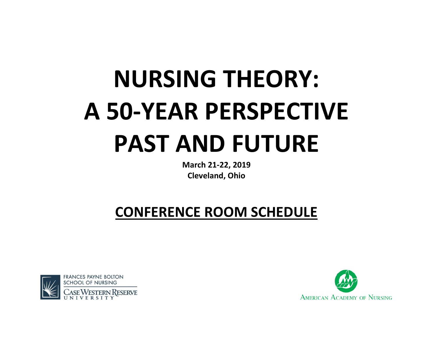## **NURSING THEORY: A 50-YEAR PERSPECTIVE PAST AND FUTURE**

**March 21-22, 2019 Cleveland, Ohio**

## **CONFERENCE ROOM SCHEDULE**



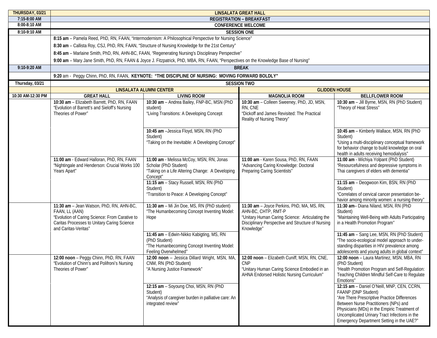| THURSDAY, 03/21   | <b>LINSALATA GREAT HALL</b>                                                                                                                                                         |                                                                                                                                  |                                                                                                                                                                                         |                                                                                                                                                                                                                                                                                                          |  |
|-------------------|-------------------------------------------------------------------------------------------------------------------------------------------------------------------------------------|----------------------------------------------------------------------------------------------------------------------------------|-----------------------------------------------------------------------------------------------------------------------------------------------------------------------------------------|----------------------------------------------------------------------------------------------------------------------------------------------------------------------------------------------------------------------------------------------------------------------------------------------------------|--|
| 7:15-8:00 AM      | <b>REGISTRATION - BREAKFAST</b>                                                                                                                                                     |                                                                                                                                  |                                                                                                                                                                                         |                                                                                                                                                                                                                                                                                                          |  |
| 8:00-8:10 AM      | <b>CONFERENCE WELCOME</b>                                                                                                                                                           |                                                                                                                                  |                                                                                                                                                                                         |                                                                                                                                                                                                                                                                                                          |  |
| 8:10-9:10 AM      | <b>SESSION ONE</b>                                                                                                                                                                  |                                                                                                                                  |                                                                                                                                                                                         |                                                                                                                                                                                                                                                                                                          |  |
|                   | 8:15 am - Pamela Reed, PhD, RN, FAAN, "Intermodernism: A Philosophical Perspective for Nursing Science"                                                                             |                                                                                                                                  |                                                                                                                                                                                         |                                                                                                                                                                                                                                                                                                          |  |
|                   | 8:30 am - Callista Roy, CSJ, PhD, RN, FAAN, "Structure of Nursing Knowledge for the 21st Century"                                                                                   |                                                                                                                                  |                                                                                                                                                                                         |                                                                                                                                                                                                                                                                                                          |  |
|                   | 8:45 am - Marlaine Smith, PhD, RN, AHN-BC, FAAN, "Regenerating Nursing's Disciplinary Perspective"                                                                                  |                                                                                                                                  |                                                                                                                                                                                         |                                                                                                                                                                                                                                                                                                          |  |
|                   | 9:00 am - Mary Jane Smith, PhD, RN, FAAN & Joyce J. Fitzpatrick, PhD, MBA, RN, FAAN, "Perspectives on the Knowledge Base of Nursing"                                                |                                                                                                                                  |                                                                                                                                                                                         |                                                                                                                                                                                                                                                                                                          |  |
| 9:10-9:20 AM      | <b>BREAK</b>                                                                                                                                                                        |                                                                                                                                  |                                                                                                                                                                                         |                                                                                                                                                                                                                                                                                                          |  |
|                   | 9:20 am - Peggy Chinn, PhD, RN, FAAN, KEYNOTE: "THE DISCIPLINE OF NURSING: MOVING FORWARD BOLDLY"                                                                                   |                                                                                                                                  |                                                                                                                                                                                         |                                                                                                                                                                                                                                                                                                          |  |
| Thursday, 03/21   | <b>SESSION TWO</b>                                                                                                                                                                  |                                                                                                                                  |                                                                                                                                                                                         |                                                                                                                                                                                                                                                                                                          |  |
|                   | <b>LINSALATA ALUMNI CENTER</b>                                                                                                                                                      |                                                                                                                                  | <b>GLIDDEN HOUSE</b>                                                                                                                                                                    |                                                                                                                                                                                                                                                                                                          |  |
| 10:30 AM-12:30 PM | <b>GREAT HALL</b>                                                                                                                                                                   | <b>LIVING ROOM</b>                                                                                                               | <b>MAGNOLIA ROOM</b>                                                                                                                                                                    | <b>BELLFLOWER ROOM</b>                                                                                                                                                                                                                                                                                   |  |
|                   | 10:30 am - Elizabeth Barrett, PhD, RN, FAAN<br>"Evolution of Barrett's and Sieloff's Nursing<br>Theories of Power"                                                                  | 10:30 am - Andrea Bailey, FNP-BC, MSN (PhD<br>student)<br>"Living Transitions: A Developing Concept                              | 10:30 am - Colleen Sweeney, PhD, JD, MSN,<br>RN, CNE<br>"Dickoff and James Revisited: The Practical<br>Reality of Nursing Theory"                                                       | 10:30 am - Jill Byrne, MSN, RN (PhD Student)<br>"Theory of Heat Stress"                                                                                                                                                                                                                                  |  |
|                   |                                                                                                                                                                                     | 10:45 am - Jessica Floyd, MSN, RN (PhD<br>Student)<br>"Taking on the Inevitable: A Developing Concept"                           |                                                                                                                                                                                         | 10:45 am - Kimberly Wallace, MSN, RN (PhD<br>Student)<br>"Using a multi-disciplinary conceptual framework<br>for behavior change to build knowledge on oral<br>health in adults receiving hemodialysis"                                                                                                  |  |
|                   | 11:00 am - Edward Halloran, PhD, RN, FAAN<br>"Nightingale and Henderson: Crucial Works 100<br>Years Apart"                                                                          | 11:00 am - Melissa McCoy, MSN, RN, Jonas<br>Scholar (PhD Student)<br>"Taking on a Life Altering Change: A Developing<br>Concept" | 11:00 am - Karen Sousa, PhD, RN, FAAN<br>"Advancing Caring Knowledge: Doctoral<br>Preparing Caring Scientists"                                                                          | 11:00 am - Wichiya Yolpant (PhD Student)<br>"Resourcefulness and depressive symptoms in<br>Thai caregivers of elders with dementia"                                                                                                                                                                      |  |
|                   |                                                                                                                                                                                     | 11:15 am - Stacy Russell, MSN, RN (PhD<br>Student)<br>"Transition to Peace: A Developing Concept"                                |                                                                                                                                                                                         | 11:15 am - Deogwoon Kim, BSN, RN (PhD<br>Student)<br>"Correlates of cervical cancer presentation be-<br>havior among minority women: a nursing theory"                                                                                                                                                   |  |
|                   | 11:30 am - Jean Watson, PhD, RN, AHN-BC,<br>FAAN, LL (AAN)<br>"Evolution of Caring Science: From Carative to<br>Caritas Processes to Unitary Caring Science<br>and Caritas-Veritas" | 11:30 am - Mi Jin Doe, MS, RN (PhD student)<br>"The Humanbecoming Concept Inventing Model:<br>Hope                               | 11:30 am - Joyce Perkins, PhD, MA, MS, RN,<br>AHN-BC, CHTP, RMT-P<br>"Unitary Human Caring Science: Articulating the<br>Disciplinary Perspective and Structure of Nursing<br>Knowledge" | 11:30 am- Diana Niland, MSN, RN (PhD<br>Student)<br>"Maintaining Well-Being with Adults Participating<br>in a Health Promotion Program"                                                                                                                                                                  |  |
|                   |                                                                                                                                                                                     | 11:45 am - Edwin-Nikko Kabigting, MS, RN<br>(PhD Student)<br>"The Humanbecoming Concept Inventing Model:<br>Feeling Overwhelmed" |                                                                                                                                                                                         | 11:45 am - Sang Lee, MSN, RN (PhD Student)<br>"The socio-ecological model approach to under-<br>standing disparities in HIV prevalence among<br>adolescents and young adults in global context"                                                                                                          |  |
|                   | 12:00 noon – Peggy Chinn, PhD, RN, FAAN<br>"Evolution of Chinn's and Polifroni's Nursing<br>Theories of Power"                                                                      | 12:00 noon - Jessica Dillard Wright, MSN, MA,<br>CNM, RN (PhD Student)<br>"A Nursing Justice Framework"                          | 12:00 noon – Elizabeth Cuniff, MSN, RN, CNE,<br><b>CNP</b><br>"Unitary Human Caring Science Embodied in an<br>AHNA Endorsed Holistic Nursing Curriculum"                                | 12:00 noon - Laura Martinez, MSN, MBA, RN<br>(PhD Student)<br>"Health Promotion Program and Self-Regulation:<br>Teaching Children Mindful Self-Care to Regulate<br>Emotions"                                                                                                                             |  |
|                   |                                                                                                                                                                                     | 12:15 am - Soyoung Choi, MSN, RN (PhD<br>Student)<br>"Analysis of caregiver burden in palliative care: An<br>integrated review"  |                                                                                                                                                                                         | 12:15 am - Daniel O'Neill, MNP, CEN, CCRN,<br>FAANP (DNP Student)<br>"Are There Prescriptive Practice Differences<br>Between Nurse Practitioners (NPs) and<br>Physicians (MDs) in the Empiric Treatment of<br>Uncomplicated Urinary Tract Infections in the<br>Emergency Department Setting in the UAE?" |  |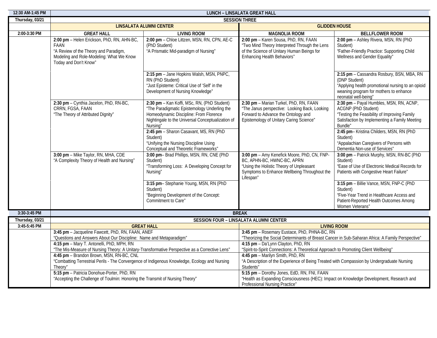| 12:30 AM-1:45 PM | <b>LUNCH - LINSALATA GREAT HALL</b>                                                                                                                                                                                                                                                                                                                                                                                                |                                                                                                                                                                                                        |                                                                                                                                                                                    |                                                                                                                                                                                   |  |
|------------------|------------------------------------------------------------------------------------------------------------------------------------------------------------------------------------------------------------------------------------------------------------------------------------------------------------------------------------------------------------------------------------------------------------------------------------|--------------------------------------------------------------------------------------------------------------------------------------------------------------------------------------------------------|------------------------------------------------------------------------------------------------------------------------------------------------------------------------------------|-----------------------------------------------------------------------------------------------------------------------------------------------------------------------------------|--|
| Thursday, 03/21  |                                                                                                                                                                                                                                                                                                                                                                                                                                    |                                                                                                                                                                                                        | <b>SESSION THREE</b>                                                                                                                                                               |                                                                                                                                                                                   |  |
|                  | <b>LINSALATA ALUMNI CENTER</b>                                                                                                                                                                                                                                                                                                                                                                                                     |                                                                                                                                                                                                        | <b>GLIDDEN HOUSE</b>                                                                                                                                                               |                                                                                                                                                                                   |  |
| 2:00-3:30 PM     | <b>GREAT HALL</b>                                                                                                                                                                                                                                                                                                                                                                                                                  | <b>LIVING ROOM</b>                                                                                                                                                                                     | <b>MAGNOLIA ROOM</b>                                                                                                                                                               | <b>BELLFLOWER ROOM</b>                                                                                                                                                            |  |
|                  | 2:00 pm - Helen Erickson, PhD, RN, AHN-BC,<br>FAAN<br>"A Review of the Theory and Paradigm,<br>Modeling and Role-Modeling: What We Know<br>Today and Don't Know"                                                                                                                                                                                                                                                                   | 2:00 pm - Chloe Littzen, MSN, RN, CPN, AE-C<br>(PhD Student)<br>"A Prismatic Mid-paradigm of Nursing"                                                                                                  | 2:00 pm - Karen Sousa, PhD, RN, FAAN<br>"Two Mind Theory Interpreted Through the Lens<br>of the Science of Unitary Human Beings for<br>Enhancing Health Behaviors"                 | 2:00 pm - Ashley Rivera, MSN, RN (PhD<br>Student)<br>"Father-Friendly Practice: Supporting Child<br>Wellness and Gender Equality"                                                 |  |
|                  |                                                                                                                                                                                                                                                                                                                                                                                                                                    | 2:15 pm - Jane Hopkins Walsh, MSN, PNPC,<br>RN (PhD Student)<br>"Just Episteme: Critical Use of 'Self' in the<br>Development of Nursing Knowledge"                                                     |                                                                                                                                                                                    | 2:15 pm - Cassandra Rosbury, BSN, MBA, RN<br>(DNP Student)<br>"Applying health promotional nursing to an opioid<br>weaning program for mothers to enhance<br>neonatal well-being" |  |
|                  | 2:30 pm - Cynthia Jacelon, PhD, RN-BC,<br>CRRN, FGSA, FAAN<br>"The Theory of Attributed Dignity"                                                                                                                                                                                                                                                                                                                                   | 2:30 pm - Kan Koffi, MSc, RN, (PhD Student)<br>"The Paradigmatic Epistemology Underling the<br>Homeodynamic Discipline: From Florence<br>Nightingale to the Universal Conceptualization of<br>Nursing" | 2:30 pm - Marian Turkel, PhD, RN, FAAN<br>"The Janus perspective: Looking Back, Looking<br>Forward to Advance the Ontology and<br>Epistemology of Unitary Caring Science"          | 2:30 pm - Payal Humbles, MSN, RN, ACNP,<br>ACGNP (PhD Student)<br>"Testing the Feasibility of Improving Family<br>Satisfaction by Implementing a Family Meeting<br>Bundle"        |  |
|                  |                                                                                                                                                                                                                                                                                                                                                                                                                                    | 2:45 pm - Sharon Casavant, MS, RN (PhD<br>Student)<br>"Unifying the Nursing Discipline Using<br>Conceptual and Theoretic Frameworks"                                                                   |                                                                                                                                                                                    | 2:45 pm- Kristina Childers, MSN, RN (PhD<br>Student)<br>"Appalachian Caregivers of Persons with<br>Dementia Non-use of Services"                                                  |  |
|                  | 3:00 pm - Mike Taylor, RN, MHA, CDE<br>"A Complexity Theory of Health and Nursing"                                                                                                                                                                                                                                                                                                                                                 | 3:00 pm- Brad Phillips, MSN, RN, CNE (PhD<br>Student)<br>"Transforming Loss: A Developing Concept for<br>Nursing"                                                                                      | 3:00 pm - Amy Kenefick Moore, PhD, CN, FNP-<br>BC, APHN-BC, HWNC-BC, APRN<br>"Using the Holistic Theory of Unpleasant<br>Symptoms to Enhance Wellbeing Throughout the<br>Lifespan" | 3:00 pm - Patrick Murphy, MSN, RN-BC (PhD<br>Student)<br>"Ease of Use of Electronic Medical Records for<br>Patients with Congestive Heart Failure"                                |  |
|                  |                                                                                                                                                                                                                                                                                                                                                                                                                                    | 3:15 pm- Stephanie Young, MSN, RN (PhD<br>Student)<br>"Beginning Development of the Concept:<br>Commitment to Care"                                                                                    |                                                                                                                                                                                    | 3:15 pm - Billie Vance, MSN, FNP-C (PhD<br>Student)<br>"Five-Year Trend in Healthcare Access and<br>Patient-Reported Health Outcomes Among<br>Women Veterans"                     |  |
| 3:30-3:45 PM     |                                                                                                                                                                                                                                                                                                                                                                                                                                    |                                                                                                                                                                                                        | <b>BREAK</b>                                                                                                                                                                       |                                                                                                                                                                                   |  |
| Thursday, 03/21  |                                                                                                                                                                                                                                                                                                                                                                                                                                    |                                                                                                                                                                                                        | SESSION FOUR - LINSALATA ALUMNI CENTER                                                                                                                                             |                                                                                                                                                                                   |  |
| 3:45-5:45 PM     |                                                                                                                                                                                                                                                                                                                                                                                                                                    | <b>GREAT HALL</b>                                                                                                                                                                                      | <b>LIVING ROOM</b><br>3:45 pm - Rosemary Eustace, PhD, PHNA-BC, RN                                                                                                                 |                                                                                                                                                                                   |  |
|                  |                                                                                                                                                                                                                                                                                                                                                                                                                                    | 3:45 pm - Jacqueline Fawcett, PhD, RN, FAAN, ANEF<br>"Questions and Answers About Our Discipline: Name and Metaparadigm"                                                                               |                                                                                                                                                                                    | "Theorizing the Social Determinants of Breast Cancer in Sub-Saharan Africa: A Family Perspective"                                                                                 |  |
|                  | 4:15 pm - Mary T. Antonelli, PhD, MPH, RN<br>"The Mis-Measure of Nursing Theory: A Unitary-Transformative Perspective as a Corrective Lens"<br>4:45 pm - Brandon Brown, MSN, RN-BC, CNL<br>"Combatting Terrestrial Perils - The Convergence of Indigenous Knowledge, Ecology and Nursing<br>Theory"<br>5:15 pm - Patricia Donohue-Porter, PhD, RN<br>"Accepting the Challenge of Toulmin: Honoring the Transmit of Nursing Theory" |                                                                                                                                                                                                        | 4:15 pm - Da'Lynn Clayton, PhD, RN<br>"Spirit-to-Spirit Connections: A Theoretical Approach to Promoting Client Wellbeing"                                                         |                                                                                                                                                                                   |  |
|                  |                                                                                                                                                                                                                                                                                                                                                                                                                                    |                                                                                                                                                                                                        | 4:45 pm - Marilyn Smith, PhD, RN<br>"A Description of the Experience of Being Treated with Compassion by Undergraduate Nursing<br>Students'                                        |                                                                                                                                                                                   |  |
|                  |                                                                                                                                                                                                                                                                                                                                                                                                                                    |                                                                                                                                                                                                        | 5:15 pm - Dorothy Jones, EdD, RN, FNI, FAAN<br>"Health as Expanding Consciousness (HEC): Impact on Knowledge Development, Research and<br>Professional Nursing Practice"           |                                                                                                                                                                                   |  |